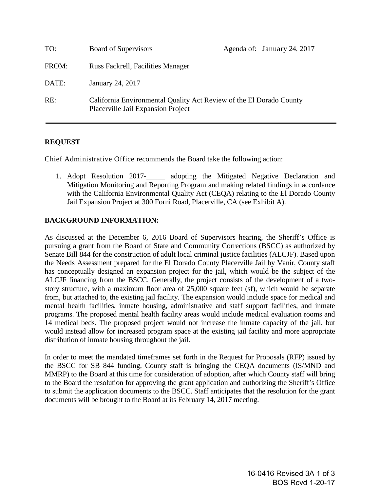| TO:   | Board of Supervisors                                                                                      |  | Agenda of: January 24, 2017 |
|-------|-----------------------------------------------------------------------------------------------------------|--|-----------------------------|
| FROM: | Russ Fackrell, Facilities Manager                                                                         |  |                             |
| DATE: | January 24, 2017                                                                                          |  |                             |
| RE:   | California Environmental Quality Act Review of the El Dorado County<br>Placerville Jail Expansion Project |  |                             |

## **REQUEST**

Chief Administrative Office recommends the Board take the following action:

1. Adopt Resolution 2017-\_\_\_\_\_ adopting the Mitigated Negative Declaration and Mitigation Monitoring and Reporting Program and making related findings in accordance with the California Environmental Quality Act (CEQA) relating to the El Dorado County Jail Expansion Project at 300 Forni Road, Placerville, CA (see Exhibit A).

## **BACKGROUND INFORMATION:**

As discussed at the December 6, 2016 Board of Supervisors hearing, the Sheriff's Office is pursuing a grant from the Board of State and Community Corrections (BSCC) as authorized by Senate Bill 844 for the construction of adult local criminal justice facilities (ALCJF). Based upon the Needs Assessment prepared for the El Dorado County Placerville Jail by Vanir, County staff has conceptually designed an expansion project for the jail, which would be the subject of the ALCJF financing from the BSCC. Generally, the project consists of the development of a twostory structure, with a maximum floor area of 25,000 square feet (sf), which would be separate from, but attached to, the existing jail facility. The expansion would include space for medical and mental health facilities, inmate housing, administrative and staff support facilities, and inmate programs. The proposed mental health facility areas would include medical evaluation rooms and 14 medical beds. The proposed project would not increase the inmate capacity of the jail, but would instead allow for increased program space at the existing jail facility and more appropriate distribution of inmate housing throughout the jail.

In order to meet the mandated timeframes set forth in the Request for Proposals (RFP) issued by the BSCC for SB 844 funding, County staff is bringing the CEQA documents (IS/MND and MMRP) to the Board at this time for consideration of adoption, after which County staff will bring to the Board the resolution for approving the grant application and authorizing the Sheriff's Office to submit the application documents to the BSCC. Staff anticipates that the resolution for the grant documents will be brought to the Board at its February 14, 2017 meeting.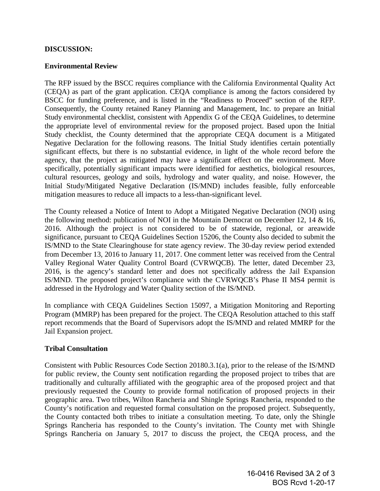#### **DISCUSSION:**

#### **Environmental Review**

The RFP issued by the BSCC requires compliance with the California Environmental Quality Act (CEQA) as part of the grant application. CEQA compliance is among the factors considered by BSCC for funding preference, and is listed in the "Readiness to Proceed" section of the RFP. Consequently, the County retained Raney Planning and Management, Inc. to prepare an Initial Study environmental checklist, consistent with Appendix G of the CEQA Guidelines, to determine the appropriate level of environmental review for the proposed project. Based upon the Initial Study checklist, the County determined that the appropriate CEQA document is a Mitigated Negative Declaration for the following reasons. The Initial Study identifies certain potentially significant effects, but there is no substantial evidence, in light of the whole record before the agency, that the project as mitigated may have a significant effect on the environment. More specifically, potentially significant impacts were identified for aesthetics, biological resources, cultural resources, geology and soils, hydrology and water quality, and noise. However, the Initial Study/Mitigated Negative Declaration (IS/MND) includes feasible, fully enforceable mitigation measures to reduce all impacts to a less-than-significant level.

The County released a Notice of Intent to Adopt a Mitigated Negative Declaration (NOI) using the following method: publication of NOI in the Mountain Democrat on December 12, 14 & 16, 2016. Although the project is not considered to be of statewide, regional, or areawide significance, pursuant to CEQA Guidelines Section 15206, the County also decided to submit the IS/MND to the State Clearinghouse for state agency review. The 30-day review period extended from December 13, 2016 to January 11, 2017. One comment letter was received from the Central Valley Regional Water Quality Control Board (CVRWQCB). The letter, dated December 23, 2016, is the agency's standard letter and does not specifically address the Jail Expansion IS/MND. The proposed project's compliance with the CVRWQCB's Phase II MS4 permit is addressed in the Hydrology and Water Quality section of the IS/MND.

In compliance with CEQA Guidelines Section 15097, a Mitigation Monitoring and Reporting Program (MMRP) has been prepared for the project. The CEQA Resolution attached to this staff report recommends that the Board of Supervisors adopt the IS/MND and related MMRP for the Jail Expansion project.

#### **Tribal Consultation**

Consistent with Public Resources Code Section 20180.3.1(a), prior to the release of the IS/MND for public review, the County sent notification regarding the proposed project to tribes that are traditionally and culturally affiliated with the geographic area of the proposed project and that previously requested the County to provide formal notification of proposed projects in their geographic area. Two tribes, Wilton Rancheria and Shingle Springs Rancheria, responded to the County's notification and requested formal consultation on the proposed project. Subsequently, the County contacted both tribes to initiate a consultation meeting. To date, only the Shingle Springs Rancheria has responded to the County's invitation. The County met with Shingle Springs Rancheria on January 5, 2017 to discuss the project, the CEQA process, and the